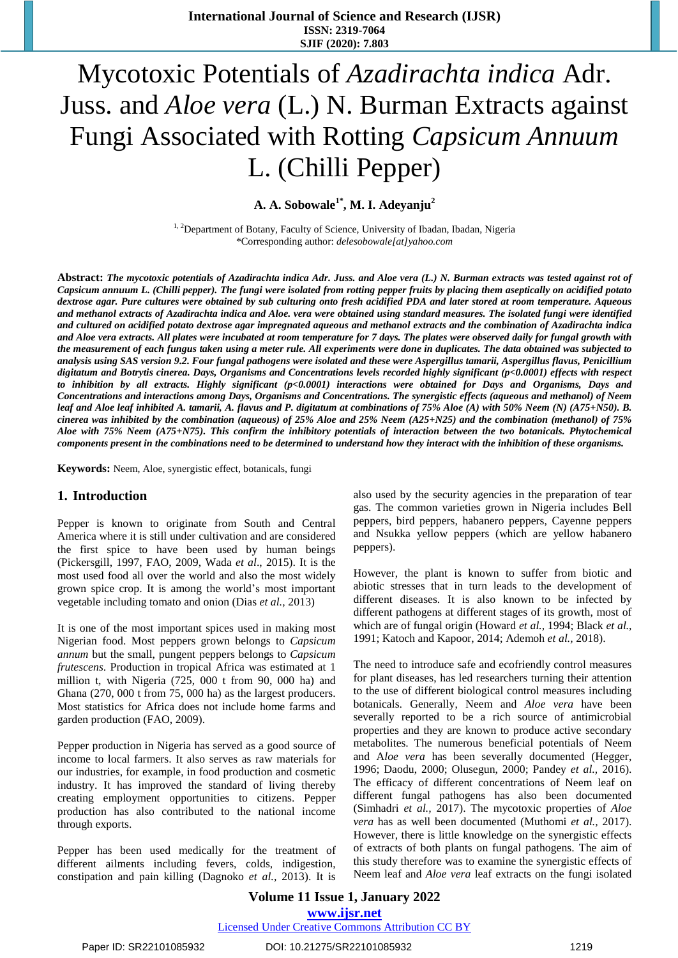# Mycotoxic Potentials of *Azadirachta indica* Adr. Juss. and *Aloe vera* (L.) N. Burman Extracts against Fungi Associated with Rotting *Capsicum Annuum* L. (Chilli Pepper)

**A. A. Sobowale1\* , M. I. Adeyanju<sup>2</sup>**

<sup>1, 2</sup>Department of Botany, Faculty of Science, University of Ibadan, Ibadan, Nigeria \*Corresponding author: *[delesobowale\[at\]yahoo.com](mailto:*delesobowale@yahoo.com)*

Abstract: The mycotoxic potentials of Azadirachta indica Adr. Juss. and Aloe vera (L.) N. Burman extracts was tested against rot of Capsicum annuum L. (Chilli pepper). The fungi were isolated from rotting pepper fruits by placing them aseptically on acidified potato dextrose agar. Pure cultures were obtained by sub culturing onto fresh acidified PDA and later stored at room temperature. Aqueous and methanol extracts of Azadirachta indica and Aloe, vera were obtained using standard measures. The isolated fungi were identified and cultured on acidified potato dextrose agar impregnated aqueous and methanol extracts and the combination of Azadirachta indica and Aloe vera extracts. All plates were incubated at room temperature for 7 days. The plates were observed daily for fungal growth with the measurement of each fungus taken using a meter rule. All experiments were done in duplicates. The data obtained was subjected to analysis using SAS version 9.2. Four fungal pathogens were isolated and these were Aspergillus tamarii, Aspergillus flavus, Penicillium *digitatum and Botrytis cinerea. Days, Organisms and Concentrations levels recorded highly significant (p<0.0001) effects with respect to inhibition by all extracts. Highly significant (p<0.0001) interactions were obtained for Days and Organisms, Days and Concentrations and interactions among Days, Organisms and Concentrations. The synergistic effects (aqueous and methanol) of Neem* leaf and Aloe leaf inhibited A. tamarii, A. flavus and P. digitatum at combinations of 75% Aloe (A) with 50% Neem (N) (A75+N50). B. cinerea was inhibited by the combination (aqueous) of 25% Aloe and 25% Neem (A25+N25) and the combination (methanol) of 75% Aloe with 75% Neem (A75+N75). This confirm the inhibitory potentials of interaction between the two botanicals. Phytochemical components present in the combinations need to be determined to understand how they interact with the inhibition of these organisms.

**Keywords:** Neem, Aloe, synergistic effect, botanicals, fungi

#### **1. Introduction**

Pepper is known to originate from South and Central America where it is still under cultivation and are considered the first spice to have been used by human beings (Pickersgill, 1997, FAO, 2009, Wada *et al*., 2015). It is the most used food all over the world and also the most widely grown spice crop. It is among the world's most important vegetable including tomato and onion (Dias *et al.,* 2013)

It is one of the most important spices used in making most Nigerian food. Most peppers grown belongs to *Capsicum annum* but the small, pungent peppers belongs to *Capsicum frutescens*. Production in tropical Africa was estimated at 1 million t, with Nigeria (725, 000 t from 90, 000 ha) and Ghana (270, 000 t from 75, 000 ha) as the largest producers. Most statistics for Africa does not include home farms and garden production (FAO, 2009).

Pepper production in Nigeria has served as a good source of income to local farmers. It also serves as raw materials for our industries, for example, in food production and cosmetic industry. It has improved the standard of living thereby creating employment opportunities to citizens. Pepper production has also contributed to the national income through exports.

Pepper has been used medically for the treatment of different ailments including fevers, colds, indigestion, constipation and pain killing (Dagnoko *et al.,* 2013). It is

also used by the security agencies in the preparation of tear gas. The common varieties grown in Nigeria includes Bell peppers, bird peppers, habanero peppers, Cayenne peppers and Nsukka yellow peppers (which are yellow habanero peppers).

However, the plant is known to suffer from biotic and abiotic stresses that in turn leads to the development of different diseases. It is also known to be infected by different pathogens at different stages of its growth, most of which are of fungal origin (Howard *et al.,* 1994; Black *et al.,*  1991; Katoch and Kapoor, 2014; Ademoh *et al.,* 2018).

The need to introduce safe and ecofriendly control measures for plant diseases, has led researchers turning their attention to the use of different biological control measures including botanicals. Generally, Neem and *Aloe vera* have been severally reported to be a rich source of antimicrobial properties and they are known to produce active secondary metabolites. The numerous beneficial potentials of Neem and A*loe vera* has been severally documented (Hegger, 1996; Daodu, 2000; Olusegun, 2000; Pandey *et al.,* 2016). The efficacy of different concentrations of Neem leaf on different fungal pathogens has also been documented (Simhadri *et al.,* 2017). The mycotoxic properties of *Aloe vera* has as well been documented (Muthomi *et al.,* 2017). However, there is little knowledge on the synergistic effects of extracts of both plants on fungal pathogens. The aim of this study therefore was to examine the synergistic effects of Neem leaf and *Aloe vera* leaf extracts on the fungi isolated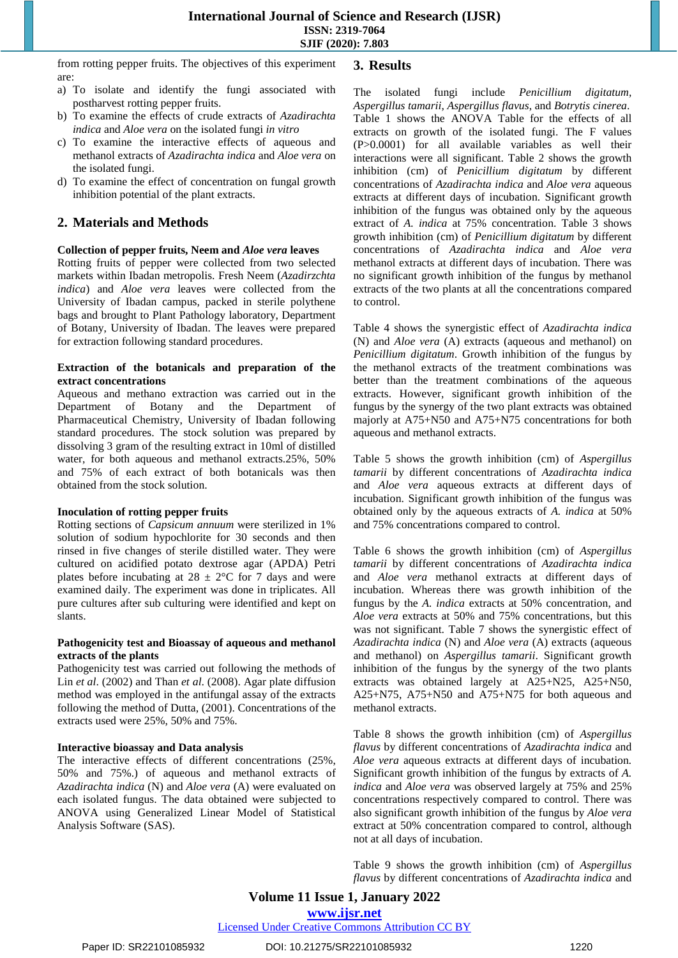from rotting pepper fruits. The objectives of this experiment are:

- a) To isolate and identify the fungi associated with postharvest rotting pepper fruits.
- b) To examine the effects of crude extracts of *Azadirachta indica* and *Aloe vera* on the isolated fungi *in vitro*
- c) To examine the interactive effects of aqueous and methanol extracts of *Azadirachta indica* and *Aloe vera* on the isolated fungi.
- d) To examine the effect of concentration on fungal growth inhibition potential of the plant extracts.

# **2. Materials and Methods**

#### **Collection of pepper fruits, Neem and** *Aloe vera* **leaves**

Rotting fruits of pepper were collected from two selected markets within Ibadan metropolis. Fresh Neem (*Azadirzchta indica*) and *Aloe vera* leaves were collected from the University of Ibadan campus, packed in sterile polythene bags and brought to Plant Pathology laboratory, Department of Botany, University of Ibadan. The leaves were prepared for extraction following standard procedures.

#### **Extraction of the botanicals and preparation of the extract concentrations**

Aqueous and methano extraction was carried out in the Department of Botany and the Department of Pharmaceutical Chemistry, University of Ibadan following standard procedures. The stock solution was prepared by dissolving 3 gram of the resulting extract in 10ml of distilled water, for both aqueous and methanol extracts.25%, 50% and 75% of each extract of both botanicals was then obtained from the stock solution.

#### **Inoculation of rotting pepper fruits**

Rotting sections of *Capsicum annuum* were sterilized in 1% solution of sodium hypochlorite for 30 seconds and then rinsed in five changes of sterile distilled water. They were cultured on acidified potato dextrose agar (APDA) Petri plates before incubating at  $28 \pm 2$ °C for 7 days and were examined daily. The experiment was done in triplicates. All pure cultures after sub culturing were identified and kept on slants.

#### **Pathogenicity test and Bioassay of aqueous and methanol extracts of the plants**

Pathogenicity test was carried out following the methods of Lin *et al*. (2002) and Than *et al*. (2008). Agar plate diffusion method was employed in the antifungal assay of the extracts following the method of Dutta, (2001). Concentrations of the extracts used were 25%, 50% and 75%.

#### **Interactive bioassay and Data analysis**

The interactive effects of different concentrations (25%, 50% and 75%.) of aqueous and methanol extracts of *Azadirachta indica* (N) and *Aloe vera* (A) were evaluated on each isolated fungus. The data obtained were subjected to ANOVA using Generalized Linear Model of Statistical Analysis Software (SAS).

# **3. Results**

The isolated fungi include *Penicillium digitatum, Aspergillus tamarii*, *Aspergillus flavus*, and *Botrytis cinerea*. Table 1 shows the ANOVA Table for the effects of all extracts on growth of the isolated fungi. The F values (P>0.0001) for all available variables as well their interactions were all significant. Table 2 shows the growth inhibition (cm) of *Penicillium digitatum* by different concentrations of *Azadirachta indica* and *Aloe vera* aqueous extracts at different days of incubation. Significant growth inhibition of the fungus was obtained only by the aqueous extract of *A. indica* at 75% concentration. Table 3 shows growth inhibition (cm) of *Penicillium digitatum* by different concentrations of *Azadirachta indica* and *Aloe vera* methanol extracts at different days of incubation. There was no significant growth inhibition of the fungus by methanol extracts of the two plants at all the concentrations compared to control.

Table 4 shows the synergistic effect of *Azadirachta indica* (N) and *Aloe vera* (A) extracts (aqueous and methanol) on *Penicillium digitatum*. Growth inhibition of the fungus by the methanol extracts of the treatment combinations was better than the treatment combinations of the aqueous extracts. However, significant growth inhibition of the fungus by the synergy of the two plant extracts was obtained majorly at A75+N50 and A75+N75 concentrations for both aqueous and methanol extracts.

Table 5 shows the growth inhibition (cm) of *Aspergillus tamarii* by different concentrations of *Azadirachta indica* and *Aloe vera* aqueous extracts at different days of incubation. Significant growth inhibition of the fungus was obtained only by the aqueous extracts of *A. indica* at 50% and 75% concentrations compared to control.

Table 6 shows the growth inhibition (cm) of *Aspergillus tamarii* by different concentrations of *Azadirachta indica* and *Aloe vera* methanol extracts at different days of incubation. Whereas there was growth inhibition of the fungus by the *A. indica* extracts at 50% concentration, and *Aloe vera* extracts at 50% and 75% concentrations, but this was not significant. Table 7 shows the synergistic effect of *Azadirachta indica* (N) and *Aloe vera* (A) extracts (aqueous and methanol) on *Aspergillus tamarii*. Significant growth inhibition of the fungus by the synergy of the two plants extracts was obtained largely at A25+N25, A25+N50, A25+N75, A75+N50 and A75+N75 for both aqueous and methanol extracts.

Table 8 shows the growth inhibition (cm) of *Aspergillus flavus* by different concentrations of *Azadirachta indica* and *Aloe vera* aqueous extracts at different days of incubation*.*  Significant growth inhibition of the fungus by extracts of *A. indica* and *Aloe vera* was observed largely at 75% and 25% concentrations respectively compared to control. There was also significant growth inhibition of the fungus by *Aloe vera* extract at 50% concentration compared to control, although not at all days of incubation.

Table 9 shows the growth inhibition (cm) of *Aspergillus flavus* by different concentrations of *Azadirachta indica* and

**Volume 11 Issue 1, January 2022**

**www.ijsr.net**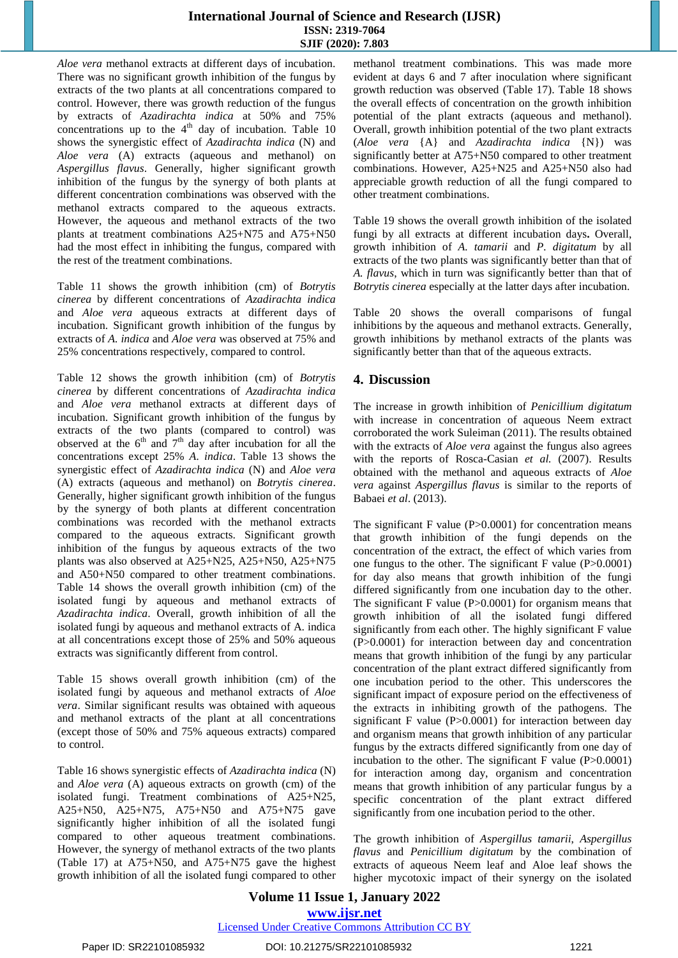*Aloe vera* methanol extracts at different days of incubation. There was no significant growth inhibition of the fungus by extracts of the two plants at all concentrations compared to control. However, there was growth reduction of the fungus by extracts of *Azadirachta indica* at 50% and 75% concentrations up to the  $4<sup>th</sup>$  day of incubation. Table 10 shows the synergistic effect of *Azadirachta indica* (N) and *Aloe vera* (A) extracts (aqueous and methanol) on *Aspergillus flavus*. Generally, higher significant growth inhibition of the fungus by the synergy of both plants at different concentration combinations was observed with the methanol extracts compared to the aqueous extracts. However, the aqueous and methanol extracts of the two plants at treatment combinations A25+N75 and A75+N50 had the most effect in inhibiting the fungus, compared with the rest of the treatment combinations.

Table 11 shows the growth inhibition (cm) of *Botrytis cinerea* by different concentrations of *Azadirachta indica* and *Aloe vera* aqueous extracts at different days of incubation. Significant growth inhibition of the fungus by extracts of *A. indica* and *Aloe vera* was observed at 75% and 25% concentrations respectively, compared to control.

Table 12 shows the growth inhibition (cm) of *Botrytis cinerea* by different concentrations of *Azadirachta indica* and *Aloe vera* methanol extracts at different days of incubation. Significant growth inhibition of the fungus by extracts of the two plants (compared to control) was observed at the  $6<sup>th</sup>$  and  $7<sup>th</sup>$  day after incubation for all the concentrations except 25% *A. indica*. Table 13 shows the synergistic effect of *Azadirachta indica* (N) and *Aloe vera* (A) extracts (aqueous and methanol) on *Botrytis cinerea*. Generally, higher significant growth inhibition of the fungus by the synergy of both plants at different concentration combinations was recorded with the methanol extracts compared to the aqueous extracts. Significant growth inhibition of the fungus by aqueous extracts of the two plants was also observed at A25+N25, A25+N50, A25+N75 and A50+N50 compared to other treatment combinations. Table 14 shows the overall growth inhibition (cm) of the isolated fungi by aqueous and methanol extracts of *Azadirachta indica*. Overall, growth inhibition of all the isolated fungi by aqueous and methanol extracts of A. indica at all concentrations except those of 25% and 50% aqueous extracts was significantly different from control.

Table 15 shows overall growth inhibition (cm) of the isolated fungi by aqueous and methanol extracts of *Aloe vera*. Similar significant results was obtained with aqueous and methanol extracts of the plant at all concentrations (except those of 50% and 75% aqueous extracts) compared to control.

Table 16 shows synergistic effects of *Azadirachta indica* (N) and *Aloe vera* (A) aqueous extracts on growth (cm) of the isolated fungi. Treatment combinations of A25+N25, A25+N50, A25+N75, A75+N50 and A75+N75 gave significantly higher inhibition of all the isolated fungi compared to other aqueous treatment combinations. However, the synergy of methanol extracts of the two plants (Table 17) at A75+N50, and A75+N75 gave the highest growth inhibition of all the isolated fungi compared to other methanol treatment combinations. This was made more evident at days 6 and 7 after inoculation where significant growth reduction was observed (Table 17). Table 18 shows the overall effects of concentration on the growth inhibition potential of the plant extracts (aqueous and methanol). Overall, growth inhibition potential of the two plant extracts (*Aloe vera* {A} and *Azadirachta indica* {N}) was significantly better at A75+N50 compared to other treatment combinations. However, A25+N25 and A25+N50 also had appreciable growth reduction of all the fungi compared to other treatment combinations.

Table 19 shows the overall growth inhibition of the isolated fungi by all extracts at different incubation days**.** Overall, growth inhibition of *A. tamarii* and *P. digitatum* by all extracts of the two plants was significantly better than that of *A. flavus*, which in turn was significantly better than that of *Botrytis cinerea* especially at the latter days after incubation.

Table 20 shows the overall comparisons of fungal inhibitions by the aqueous and methanol extracts. Generally, growth inhibitions by methanol extracts of the plants was significantly better than that of the aqueous extracts.

# **4. Discussion**

The increase in growth inhibition of *Penicillium digitatum* with increase in concentration of aqueous Neem extract corroborated the work Suleiman (2011). The results obtained with the extracts of *Aloe vera* against the fungus also agrees with the reports of Rosca-Casian *et al.* (2007). Results obtained with the methanol and aqueous extracts of *Aloe vera* against *Aspergillus flavus* is similar to the reports of Babaei *et al*. (2013).

The significant  $F$  value (P $>0.0001$ ) for concentration means that growth inhibition of the fungi depends on the concentration of the extract, the effect of which varies from one fungus to the other. The significant F value (P>0.0001) for day also means that growth inhibition of the fungi differed significantly from one incubation day to the other. The significant F value (P>0.0001) for organism means that growth inhibition of all the isolated fungi differed significantly from each other. The highly significant F value (P>0.0001) for interaction between day and concentration means that growth inhibition of the fungi by any particular concentration of the plant extract differed significantly from one incubation period to the other. This underscores the significant impact of exposure period on the effectiveness of the extracts in inhibiting growth of the pathogens. The significant F value (P>0.0001) for interaction between day and organism means that growth inhibition of any particular fungus by the extracts differed significantly from one day of incubation to the other. The significant F value (P>0.0001) for interaction among day, organism and concentration means that growth inhibition of any particular fungus by a specific concentration of the plant extract differed significantly from one incubation period to the other.

The growth inhibition of *Aspergillus tamarii*, *Aspergillus flavus* and *Penicillium digitatum* by the combination of extracts of aqueous Neem leaf and Aloe leaf shows the higher mycotoxic impact of their synergy on the isolated

#### **Volume 11 Issue 1, January 2022 www.ijsr.net** Licensed Under Creative Commons Attribution CC BY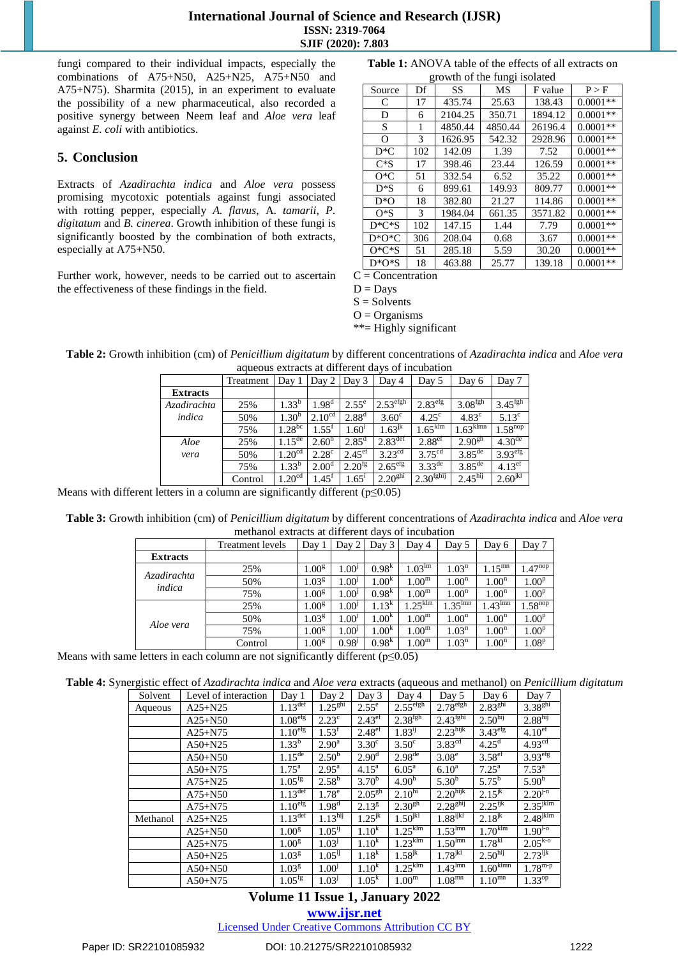fungi compared to their individual impacts, especially the combinations of A75+N50, A25+N25, A75+N50 and A75+N75). Sharmita (2015), in an experiment to evaluate the possibility of a new pharmaceutical, also recorded a positive synergy between Neem leaf and *Aloe vera* leaf against *E. coli* with antibiotics.

# **5. Conclusion**

Extracts of *Azadirachta indica* and *Aloe vera* possess promising mycotoxic potentials against fungi associated with rotting pepper, especially *A. flavus*, A. *tamarii*, *P. digitatum* and *B. cinerea*. Growth inhibition of these fungi is significantly boosted by the combination of both extracts, especially at A75+N50.

Further work, however, needs to be carried out to ascertain the effectiveness of these findings in the field.

**Table 1:** ANOVA table of the effects of all extracts on growth of the fungi isolated

| Source    | Df  | SS      | МS      | F value | P > F      |
|-----------|-----|---------|---------|---------|------------|
| C         | 17  | 435.74  | 25.63   | 138.43  | $0.0001**$ |
| D         | 6   | 2104.25 | 350.71  | 1894.12 | $0.0001**$ |
| S         | 1   | 4850.44 | 4850.44 | 26196.4 | $0.0001**$ |
| O         | 3   | 1626.95 | 542.32  | 2928.96 | $0.0001**$ |
| $D*C$     | 102 | 142.09  | 1.39    | 7.52    | $0.0001**$ |
| $C*S$     | 17  | 398.46  | 23.44   | 126.59  | $0.0001**$ |
| $O*C$     | 51  | 332.54  | 6.52    | 35.22   | $0.0001**$ |
| $D*S$     | 6   | 899.61  | 149.93  | 809.77  | $0.0001**$ |
| $D*O$     | 18  | 382.80  | 21.27   | 114.86  | $0.0001**$ |
| $O*S$     | 3   | 1984.04 | 661.35  | 3571.82 | $0.0001**$ |
| $D^*C^*S$ | 102 | 147.15  | 1.44    | 7.79    | $0.0001**$ |
| $D*O*C$   | 306 | 208.04  | 0.68    | 3.67    | $0.0001**$ |
| $O*C*S$   | 51  | 285.18  | 5.59    | 30.20   | $0.0001**$ |
| $D^*O^*S$ | 18  | 463.88  | 25.77   | 139.18  | $0.0001**$ |

 $C =$ Concentration

 $D =$ Days

 $S =$  Solvents

 $O = Organisms$ 

\*\*= Highly significant

**Table 2:** Growth inhibition (cm) of *Penicillium digitatum* by different concentrations of *Azadirachta indica* and *Aloe vera* aqueous extracts at different days of incubation

|                 | Treatment | Day 1              | Day 2              | Day 3                | Day 4                          | Day 5                 | Day 6               | Day 7                 |
|-----------------|-----------|--------------------|--------------------|----------------------|--------------------------------|-----------------------|---------------------|-----------------------|
| <b>Extracts</b> |           |                    |                    |                      |                                |                       |                     |                       |
| Azadirachta     | 25%       | $1.33^{b}$         | 1.98 <sup>d</sup>  | $2.55^{\circ}$       | $2.53^{\text{efgh}}$           | $2.83$ <sup>efg</sup> | 3.08 <sup>fgh</sup> | $3.45$ <sup>fgh</sup> |
| indica          | 50%       | $1.30^{b}$         | 2.10 <sup>cd</sup> | 2.88 <sup>d</sup>    | $3.60^\circ$                   | $4.25^{\circ}$        | $4.83^{\circ}$      | $5.13^{\circ}$        |
|                 | 75%       | $.28^{bc}$         | $1.55^t$           | $1.60^{1}$           | $1.63^{jk}$                    | $1.65$ <sup>klm</sup> | .63 <sup>klmn</sup> | $1.58^{nop}$          |
| Aloe            | 25%       | $.15^{\text{de}}$  | $2.60^{b}$         | 2.85 <sup>d</sup>    | $2.83^{\text{def}}$            | 2.88 <sup>ef</sup>    | $2.90^{gh}$         | $4.30^{\text{de}}$    |
| vera            | 50%       | .20 <sup>cd</sup>  | 2.28 <sup>c</sup>  | $2.45$ <sup>ef</sup> | 3.23 <sup>cd</sup>             | 3.75 <sup>cd</sup>    | $3.85^{\text{de}}$  | 3.93 <sup>efg</sup>   |
|                 | 75%       | $1.33^{b}$         | 2.00 <sup>d</sup>  | $2.20^{fg}$          | 2.65 <sup>efg</sup>            | $3.33^{de}$           | $3.85^{\text{de}}$  | $4.13$ <sup>ef</sup>  |
|                 | Control   | 1.20 <sup>cd</sup> | $.45^{\mathrm{r}}$ | $1.65^1$             | $2.20^{\overline{\text{ghi}}}$ | 2.30 <sup>fghij</sup> | 2.45 <sup>hij</sup> | 2.60 <sup>jkl</sup>   |

Means with different letters in a column are significantly different ( $p \le 0.05$ )

**Table 3:** Growth inhibition (cm) of *Penicillium digitatum* by different concentrations of *Azadirachta indica* and *Aloe vera* methanol extracts at different days of incubation

|                       | <b>Treatment</b> levels | Day 1             | Day 2             | Day 3                    | Day 4                | Day 5             | Day 6             | Day 7               |
|-----------------------|-------------------------|-------------------|-------------------|--------------------------|----------------------|-------------------|-------------------|---------------------|
| <b>Extracts</b>       |                         |                   |                   |                          |                      |                   |                   |                     |
| Azadirachta<br>indica | 25%                     | 1.00 <sup>g</sup> | $1.00^{1}$        | 0.98 <sup>k</sup>        | $1.03^{\text{Im}}$   | $1.03^n$          | $1.15^{mn}$       | $.47^{nop}$         |
|                       | 50%                     | 1.03 <sup>g</sup> | 1.00 <sup>j</sup> | 1.00 <sup>k</sup>        | 1.00 <sup>m</sup>    | 1.00 <sup>n</sup> | 1.00 <sup>n</sup> | $1.00^{\rm p}$      |
|                       | 75%                     | 1.00 <sup>g</sup> | $1.00^{1}$        | 0.98 <sup>k</sup>        | 1.00 <sup>m</sup>    | 1.00 <sup>n</sup> | 1.00 <sup>n</sup> | $1.00^{\rm p}$      |
|                       | 25%                     | 1.00 <sup>g</sup> | $1.00^{1}$        | $1.13^{k}$               | $.25$ <sup>klm</sup> | $1.35^{lmn}$      | $1.43^{lmn}$      | $1.58^{nop}$        |
|                       | 50%                     | 1.03 <sup>g</sup> | $1.00^{\circ}$    | 1.00 <sup>k</sup>        | 1.00 <sup>m</sup>    | 1.00 <sup>n</sup> | 1.00 <sup>n</sup> | $1.00^{\mathrm{p}}$ |
| Aloe vera             | 75%                     | 1.00 <sup>g</sup> | $1.00^{\circ}$    | 1.00 <sup><i>k</i></sup> | 1.00 <sup>m</sup>    | $1.03^n$          | 1.00 <sup>n</sup> | $1.00^{\rm p}$      |
|                       | Control                 | 1.00 <sup>g</sup> | 0.98 <sup>j</sup> | $0.98^{k}$               | 1.00 <sup>m</sup>    | $1.03^n$          | 1.00 <sup>n</sup> | 1.08 <sup>p</sup>   |
|                       |                         |                   |                   |                          |                      |                   |                   |                     |

Means with same letters in each column are not significantly different ( $p \le 0.05$ )

**Table 4:** Synergistic effect of *Azadirachta indica* and *Aloe vera* extracts (aqueous and methanol) on *Penicillium digitatum*

| Solvent  | Level of interaction | Day 1               | Day 2               | Day 3                | Day 4                           | Day 5                           | Day 6                  | Day 7                  |
|----------|----------------------|---------------------|---------------------|----------------------|---------------------------------|---------------------------------|------------------------|------------------------|
| Aqueous  | $A25 + N25$          | $1.13^{\text{def}}$ | $1.25^{ghi}$        | $2.55^{\circ}$       | $2.55^{\overline{\text{efgh}}}$ | $2.78^{\overline{\text{efgh}}}$ | $2.83^{ghi}$           | 3.38 <sup>ghi</sup>    |
|          | $A25 + N50$          | 1.08 <sup>erg</sup> | $2.23^{\circ}$      | 2.43 <sup>ef</sup>   | 2.38 <sup>fgh</sup>             | $2.43^{\text{fghi}}$            | 2.50 <sup>hij</sup>    | 2.88 <sup>hij</sup>    |
|          | $A25 + N75$          | 1.10 <sup>erg</sup> | $1.53^{\rm f}$      | 2.48 <sup>ef</sup>   | $1.83^{ij}$                     | $2.23$ hijk                     | 3.43 <sup>efg</sup>    | 4.10 <sup>ef</sup>     |
|          | $A50+N25$            | $1.33^{b}$          | $2.90^{\text{a}}$   | $3.30^{\circ}$       | $3.50^{\circ}$                  | $3.83^{\text{cd}}$              | $4.25^{\overline{d}}$  | 4.93 <sup>cd</sup>     |
|          | $A50+N50$            | $1.15^{\text{de}}$  | $2.50^{b}$          | 2.90 <sup>d</sup>    | $2.98^{\text{de}}$              | $3.08^e$                        | 3.58 <sup>ef</sup>     | $3.93$ <sup>efg</sup>  |
|          | $A50 + N75$          | $1.75^{\rm a}$      | $2.95^{\rm a}$      | $4.15^{\rm a}$       | $6.05^{\rm a}$                  | $6.10^{\rm a}$                  | $7.25^{\text{a}}$      | $7.53^{\rm a}$         |
|          | $A75 + N25$          | 1.05 <sup>fg</sup>  | $2.58^{b}$          | 3.70 <sup>b</sup>    | $4.90^{b}$                      | $5.30^{b}$                      | $5.75^{b}$             | 5.90 <sup>b</sup>      |
|          | $A75 + N50$          | 1.13 <sup>def</sup> | 1.78 <sup>e</sup>   | $2.05^{gh}$          | 2.10 <sup>hi</sup>              | 2.20 <sup>hijk</sup>            | $2.15^{jk}$            | $2.20^{j-n}$           |
|          | $A75 + N75$          | 1.10 <sup>erg</sup> | 1.98 <sup>d</sup>   | $2.13^{g}$           | $2.30^{gh}$                     | 2.28 <sup>ghij</sup>            | $2.25$ <sup>ijk</sup>  | $2.35$ <sup>jklm</sup> |
| Methanol | $A25 + N25$          | $1.13^{\text{def}}$ | 1.13 <sup>hij</sup> | $1.25$ <sup>jk</sup> | 1.50 <sup>ikl</sup>             | $1.88$ ijkl                     | $2.18^{jk}$            | $2.48$ <sup>jklm</sup> |
|          | $A25+N50$            | 1.00 <sup>g</sup>   | $1.05^{1}$          | $1.10^{k}$           | $1.25$ <sup>klm</sup>           | $1.53$ <sup>Imn</sup>           | $1.70$ <sup>klm</sup>  | $1.90^{10}$            |
|          | $A25 + N75$          | 1.00 <sup>g</sup>   | 1.03 <sup>j</sup>   | $1.10^{k}$           | $1.23$ <sup>klm</sup>           | $1.50$ <sup>Imn</sup>           | 1.78 <sup>kl</sup>     | $2.05^{k-0}$           |
|          | $A50+N25$            | 1.03 <sup>g</sup>   | 1.05 <sup>1</sup>   | 1.18 <sup>k</sup>    | $1.58$ <sup>jk</sup>            | $1.78^{jkl}$                    | 2.50 <sup>hij</sup>    | $2.73^{ijk}$           |
|          | $A50+N50$            | 1.03 <sup>g</sup>   | 1.00 <sup>j</sup>   | $1.10^{k}$           | $1.25$ <sup>klm</sup>           | $1.43^{\text{lmn}}$             | $1.60$ <sup>klmn</sup> | $1.78^{m-p}$           |
|          | $A50+N75$            | $1.05^{fg}$         | 1.03 <sup>j</sup>   | $1.05^k$             | 1.00 <sup>m</sup>               | $1.08^{\rm min}$                | $1.10^{mn}$            | $1.33^{op}$            |

# **Volume 11 Issue 1, January 2022**

**www.ijsr.net**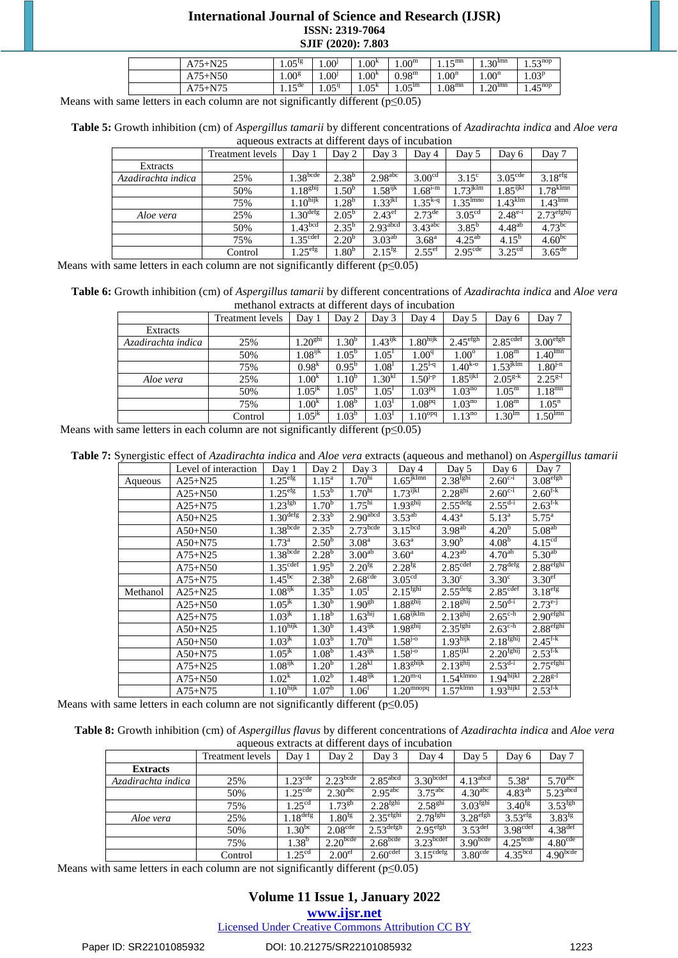| -N25<br>$A75 +$ | $1.05^{1g}$               | 1.00 <sup>j</sup>        | $1.00^{k}$        | $1.00^{\rm m}$     | $1$ $\epsilon$ mn<br> | $1.30^{\text{lmn}}$ | $52^{10}$<br>ر ر. د |
|-----------------|---------------------------|--------------------------|-------------------|--------------------|-----------------------|---------------------|---------------------|
| ⊦N50<br>A75+1   | $0.00^8$                  | $0.00^{1}$               | 1.00 <sup>K</sup> | $0.98^{\rm m}$     | $1.00^n$              | $1.00^n$            | $1.03^{p}$          |
| $+N7$<br>$A75+$ | $1$ $\epsilon$ de<br>1.10 | 05 <sup>11</sup><br>1.0J | 1.05 <sup>K</sup> | $1.05^{\text{lm}}$ | $1.08^{\rm mn}$       | $1.20^{lmn}$        | $4.45^{nop}$        |

Means with same letters in each column are not significantly different ( $p \le 0.05$ )

| Table 5: Growth inhibition (cm) of Aspergillus tamarii by different concentrations of Azadirachta indica and Aloe vera |
|------------------------------------------------------------------------------------------------------------------------|
| aqueous extracts at different days of incubation                                                                       |

|                    | Treatment levels | Day 1                | Day 2            | Day 3                  | Day 4               | Day 5                  | Day 6                  | Day 7                    |
|--------------------|------------------|----------------------|------------------|------------------------|---------------------|------------------------|------------------------|--------------------------|
| Extracts           |                  |                      |                  |                        |                     |                        |                        |                          |
| Azadirachta indica | 25%              | .38 <sup>bcde</sup>  | $2.38^{b}$       | 2.98 <sup>abc</sup>    | 3.00 <sup>cd</sup>  | $3.15^{\circ}$         | $3.05^{\text{cde}}$    | 3.18 <sup>erg</sup>      |
|                    | 50%              | .18 <sup>ghij</sup>  | .50 <sup>b</sup> | $1.58^{ijk}$           | $.68^{\rm i-m}$     | $.73$ <sup>jklm</sup>  | $1.85$ <sup>ijkl</sup> | $.78$ <sup>klmn</sup>    |
|                    | 75%              | 1.10 <sup>hijk</sup> | .28 <sup>b</sup> | $1.33^{jkl}$           | $.35^{k-q}$         | $1.35$ <sup>lmno</sup> | $.43$ <sup>klm</sup>   | .43 <sup>lmn</sup>       |
| Aloe vera          | 25%              | $1.30^{\text{defg}}$ | $2.05^{b}$       | 2.43 <sup>ef</sup>     | $2.73^{\text{de}}$  | 3.05 <sup>cd</sup>     | $2.48^{e-i}$           | $2.73$ <sup>efghij</sup> |
|                    | 50%              | 1.43 <sup>bcd</sup>  | $2.35^{b}$       | $2.93$ <sup>abcd</sup> | $3.43^{\text{abc}}$ | $3.85^{b}$             | $4.48^{ab}$            | $4.73^{bc}$              |
|                    | 75%              | 1.35 <sup>cdef</sup> | $2.20^{b}$       | $3.03^{ab}$            | $3.68^{\rm a}$      | $4.25^{ab}$            | $4.15^{b}$             | 4.60 <sup>bc</sup>       |
|                    | Control          | .25 <sup>erg</sup>   | .80 <sup>b</sup> | $2.15^{1g}$            | $2.55^{\text{ef}}$  | 2.95 <sup>cde</sup>    | 3.25 <sup>cd</sup>     | $3.65^{\text{de}}$       |

Means with same letters in each column are not significantly different ( $p \le 0.05$ )

**Table 6:** Growth inhibition (cm) of *Aspergillus tamarii* by different concentrations of *Azadirachta indica* and *Aloe vera* methanol extracts at different days of incubation

|                    | Treatment levels | Day 1                 | Day 2             | Day 3             | Day 4          | Day 5                             | Day 6                | Day 7                   |
|--------------------|------------------|-----------------------|-------------------|-------------------|----------------|-----------------------------------|----------------------|-------------------------|
| Extracts           |                  |                       |                   |                   |                |                                   |                      |                         |
| Azadirachta indica | 25%              | .20 <sup>ghi</sup>    | .30 <sup>b</sup>  | $.43^{ijk}$       | $1.80$ hijk    | $2.45^{\text{efgh}}$              | 2.85 <sup>cdef</sup> | 3.00 <sup>efgh</sup>    |
|                    | 50%              | $1.08$ <sup>ijk</sup> | $1.05^{\rm b}$    | 1.05 <sup>1</sup> | $1.00^{\rm q}$ | $1.00^\circ$                      | 1.08 <sup>m</sup>    | $1.40$ <sup>lmn</sup>   |
|                    | 75%              | 0.98 <sup>k</sup>     | $0.95^{\rm b}$    | $1.08^{1}$        | $.25^{1-q}$    | $1.40^{k-o}$                      | $.53^{\text{jklm}}$  | $1.\overline{80}^{j-n}$ |
| Aloe vera          | 25%              | $1.\overline{00}^k$   | $1.10^{b}$        | $1.30^{kl}$       | $.50^{1-p}$    | $1.\overline{85}$ <sup>ijkl</sup> | $2.05^{g-k}$         | $2.25^{g-1}$            |
|                    | 50%              | $1.05^{jk}$           | 1.05 <sup>b</sup> | 1.05 <sup>1</sup> | $1.03^{pq}$    | $1.\overline{03}^{\text{no}}$     | $1.05^{\rm m}$       | $1.18$ <sup>mn</sup>    |
|                    | 75%              | $1.00^{k}$            | 1.08 <sup>b</sup> | 1.03'             | $1.08^{pq}$    | $.03^{no}$                        | $1.08^{\rm m}$       | $1.05^{\rm n}$          |
|                    | Control          | $1.05$ <sup>jk</sup>  | $1.03^{b}$        | 1.03 <sup>1</sup> | $1.10^{opt}$   | $1.13^{10}$                       | $1.30$ <sup>lm</sup> | .50 <sup>lmn</sup>      |

Means with same letters in each column are not significantly different ( $p \le 0.05$ )

**Table 7:** Synergistic effect of *Azadirachta indica* and *Aloe vera* extracts (aqueous and methanol) on *Aspergillus tamarii*

|          | Level of interaction | Day 1                           | Day 2             | Day 3                 | Day 4                            | Day 5                    | Day 6                 | Day 7                 |
|----------|----------------------|---------------------------------|-------------------|-----------------------|----------------------------------|--------------------------|-----------------------|-----------------------|
| Aqueous  | $A25 + N25$          | $1.25$ <sup>efg</sup>           | $1.15^{\rm a}$    | 1.70 <sup>hi</sup>    | $1.65$ <sup>jklmn</sup>          | 2.38 <sup>fghi</sup>     | $2.60^{c-i}$          | $3.08^{\text{efgh}}$  |
|          | $A25 + N50$          | $1.25$ <sup>efg</sup>           | $1.53^b$          | 1.70 <sup>hi</sup>    | $1.73$ <sup>ijkl</sup>           | 2.28 <sup>ghi</sup>      | $2.60^{c-i}$          | $2.60^{f-k}$          |
|          | $A25 + N75$          | $1.23^{\overline{\text{fgh}}}$  | 1.70 <sup>b</sup> | $1.75^{\rm hi}$       | 1.93 <sup>ghij</sup>             | $2.55^{\text{defg}}$     | $2.55^{d-i}$          | $2.63^{\rm f-k}$      |
|          | $A50+N25$            | 1.30 <sup>defg</sup>            | $2.33^{b}$        | $2.90$ abcd           | $3.53^{ab}$                      | 4.43 <sup>a</sup>        | $5.13^{\rm a}$        | $5.75^{\rm a}$        |
|          | $A50+N50$            | $1.38$ bcde                     | $2.35^{b}$        | $2.73$ bcde           | 3.15 <sup>bcd</sup>              | $3.98^{ab}$              | $4.20^{b}$            | 5.08 <sup>ab</sup>    |
|          | $A50+N75$            | $1.73^{\rm a}$                  | $2.50^{b}$        | 3.08 <sup>a</sup>     | $3.63^{\rm a}$                   | 3.90 <sup>b</sup>        | 4.08 <sup>b</sup>     | 4.15 <sup>cd</sup>    |
|          | $A75 + N25$          | $1.38$ bcde                     | $2.28^{b}$        | 3.00 <sup>ab</sup>    | $3.60^{\rm a}$                   | $4.23^{ab}$              | $4.70^{ab}$           | $5.30^{ab}$           |
|          | $A75 + N50$          | 1.35 <sup>cdef</sup>            | $1.95^{b}$        | $2.20^{fg}$           | $2.28^{fg}$                      | 2.85 <sup>cdef</sup>     | $2.78$ defg           | 2.88 <sup>efghi</sup> |
|          | $A75 + N75$          | $1.45^{bc}$                     | $2.38^{b}$        | 2.68 <sup>cde</sup>   | 3.05 <sup>cd</sup>               | $3.30^{\circ}$           | 3.30 <sup>c</sup>     | 3.30 <sup>er</sup>    |
| Methanol | $A25 + N25$          | $1.08$ <sup>ijk</sup>           | $1.35^{b}$        | $1.05^1$              | 2.15 <sup>fghi</sup>             | $2.55^{\text{defg}}$     | 2.85 <sup>cdef</sup>  | 3.18 <sup>erg</sup>   |
|          | $A25+N50$            | $1.05^{jk}$                     | 1.30 <sup>b</sup> | 1.90 <sup>gh</sup>    | 1.88 <sup>ghij</sup>             | 2.18 <sup>ghij</sup>     | $2.50^{d-i}$          | $2.73^{e-j}$          |
|          | $A25 + N75$          | $1.03^{jk}$                     | $1.18^{b}$        | 1.63 <sup>hij</sup>   | $1.68$ ijklm                     | $2.\overline{13^{ghij}}$ | $2.65^{\text{c-h}}$   | 2.90 <sup>efghi</sup> |
|          | $A50+N25$            | $1.10^{\overline{\text{hijk}}}$ | 1.30 <sup>b</sup> | $1.43$ <sup>ijk</sup> | 1.98 <sup>ghij</sup>             | 2.35 <sup>fghi</sup>     | $2.63^{\text{c-h}}$   | 2.88 <sup>efghi</sup> |
|          | $A50+N50$            | $1.03^{jk}$                     | 1.03 <sup>b</sup> | 1.70 <sup>hi</sup>    | $1.58^{j-0}$                     | $1.93$ hijk              | $2.18^{fghij}$        | $2.45^{\rm f\cdot k}$ |
|          | $A50+N75$            | $1.05^{jk}$                     | 1.08 <sup>b</sup> | $1.43^{11}$           | $1.58^{j-0}$                     | $1.85$ <sup>ijkl</sup>   | 2.20 <sup>fghij</sup> | $2.53^{f-k}$          |
|          | $A75 + N25$          | $1.08^{ijk}$                    | 1.20 <sup>b</sup> | 1.28 <sup>kt</sup>    | 1.83 <sup>ghijk</sup>            | 2.13 <sup>ghij</sup>     | $2.53^{d-i}$          | $2.75^{\text{efghi}}$ |
|          | $A75 + N50$          | 1.02 <sup>k</sup>               | $1.02^{\rm b}$    | $1.48$ <sup>ijk</sup> | $1.20^{\overline{m-q}}$          | $1.54$ <sup>klmno</sup>  | 1.94 <sup>hijkl</sup> | $2.28^{g-1}$          |
|          | $A75 + N75$          | 1.10 <sup>hijk</sup>            | 1.07 <sup>b</sup> | 1.06 <sup>1</sup>     | $1.20^{\overline{\text{moopq}}}$ | $1.57$ <sup>klmn</sup>   | 1.93 <sup>hijkl</sup> | $2.53^{\rm f k}$      |

Means with same letters in each column are not significantly different ( $p \le 0.05$ )

| Table 8: Growth inhibition (cm) of Aspergillus flavus by different concentrations of Azadirachta indica and Aloe vera |  |
|-----------------------------------------------------------------------------------------------------------------------|--|
| aqueous extracts at different days of incubation                                                                      |  |

|                    | Treatment levels | Day 1                    | Day 2                | Day 3                  | Day 4                 | Day 5                  | Day 6                  | Day 7                  |
|--------------------|------------------|--------------------------|----------------------|------------------------|-----------------------|------------------------|------------------------|------------------------|
| <b>Extracts</b>    |                  |                          |                      |                        |                       |                        |                        |                        |
| Azadirachta indica | 25%              | $1.23^{\text{cde}}$      | $2.23$ bcde          | $2.85$ <sup>abcd</sup> | $3.30$ bcdef          | $4.13$ <sup>abcd</sup> | $5.38^{a}$             | $5.70$ <sup>abc</sup>  |
|                    | 50%              | $\sqrt{25}^{\text{cde}}$ | 2.30 <sup>abc</sup>  | $2.95$ <sup>abc</sup>  | $3.75$ <sup>abc</sup> | 4.30 <sup>abc</sup>    | $4.83^{ab}$            | $5.23$ <sup>abcd</sup> |
|                    | 75%              | .25 <sup>cd</sup>        | .73 <sup>gh</sup>    | 2.28 <sup>fghi</sup>   | $2.58^{ghi}$          | 3.03 <sup>fghi</sup>   | $3.40^{1g}$            | 3.53 <sup>fgh</sup>    |
| Aloe vera          | 25%              | $1.18^{\text{defg}}$     | $1.80^\mathrm{tg}$   | $2.35^{\text{efghi}}$  | 2.78 <sup>fghi</sup>  | $3.28$ <sup>efgh</sup> | 3.53 <sup>erg</sup>    | $3.83^{fg}$            |
|                    | 50%              | $.30^{bc}$               | 2.08 <sup>cde</sup>  | $2.53^{\text{defgh}}$  | 2.95 <sup>efgh</sup>  | $3.53^{\text{def}}$    | 3.98 <sup>cdef</sup>   | $4.38$ <sup>def</sup>  |
|                    | 75%              | 1.38 <sup>b</sup>        | 2.20 <sup>bcde</sup> | $2.68$ <sub>bcde</sub> | $3.23$ bcdef          | 3.90 <sup>bcde</sup>   | $4.25$ <sup>bcde</sup> | $4.80^{\text{cde}}$    |
|                    | Control          | .25 <sup>cd</sup>        | 2.00 <sup>et</sup>   | $2.60^{\text{cdef}}$   | $3.15^{\text{cdefg}}$ | $3.80^{\text{cde}}$    | 4.35 <sup>bcd</sup>    | 4.90 <sub>bcde</sub>   |

Means with same letters in each column are not significantly different ( $p \le 0.05$ )

# **Volume 11 Issue 1, January 2022**

**www.ijsr.net**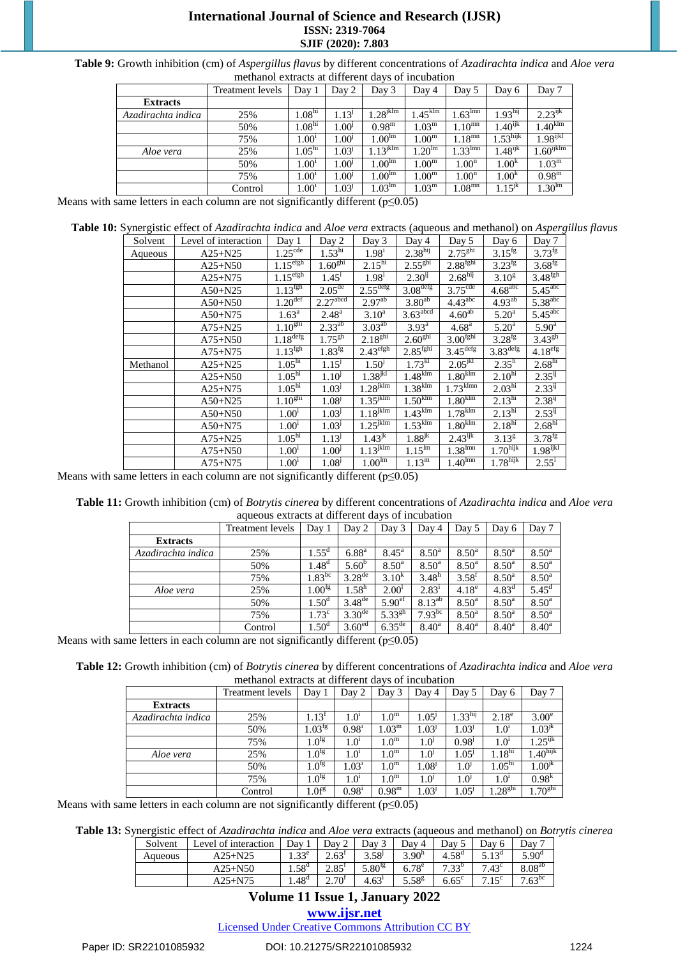| Table 9: Growth inhibition (cm) of Aspergillus flavus by different concentrations of Azadirachta indica and Aloe vera |  |
|-----------------------------------------------------------------------------------------------------------------------|--|
| methanol extracts at different days of incubation                                                                     |  |

|                    | Treatment levels | Day 1              | Day 2             | Day 3                 | Day 4                 | Day 5                 | Day 6               | Day 7                   |
|--------------------|------------------|--------------------|-------------------|-----------------------|-----------------------|-----------------------|---------------------|-------------------------|
| <b>Extracts</b>    |                  |                    |                   |                       |                       |                       |                     |                         |
| Azadirachta indica | 25%              | 1.08 <sup>hi</sup> | $.13^{j}$         | $.28$ <sup>jklm</sup> | $1.45$ <sup>klm</sup> | $1.63$ <sup>Imn</sup> | $1.93^{\rm hij}$    | $2.23^{ijk}$            |
|                    | 50%              | 1.08 <sup>hi</sup> | $00^{10}$         | $0.98^{\rm m}$        | $.03^{\rm m}$         | $1.10^{mn}$           | $.40^{ijk}$         | .40 <sup>klm</sup>      |
|                    | 75%              | .00 <sup>1</sup>   | .00 <sup>j</sup>  | 1.00 <sup>lm</sup>    | .00 <sup>m</sup>      | $1.18^{mn}$           | .53 <sup>hijk</sup> | $1.98^{\rm ijkl}$       |
| Aloe vera          | 25%              | 1.05 <sup>hi</sup> | 1.03 <sup>J</sup> | $1.13^{\text{jklm}}$  | .20 <sup>lm</sup>     | $1.33^{\text{Imn}}$   | $1.48^{ijk}$        | $1.60$ <sup>ijklm</sup> |
|                    | 50%              | .00 <sup>1</sup>   | .00 <sup>1</sup>  | $1.00^{\rm lm}$       | $1.00^{\rm m}$        | $1.00^n$              | 1.00 <sup>k</sup>   | $1.03^{\rm m}$          |
|                    | 75%              | $1.00^{1}$         | 00 <sup>1</sup>   | $1.00^{\text{lm}}$    | $0.00^{\mathrm{m}}$   | 1.00 <sup>n</sup>     | 1.00 <sup>k</sup>   | $0.98^{\rm m}$          |
|                    | Control          | .00 <sup>1</sup>   | .03 <sup>j</sup>  | $1.03^{\text{lm}}$    | .03 <sup>m</sup>      | 1.08 <sup>mn</sup>    | $1.15^{jk}$         | .30 <sup>lm</sup>       |

Means with same letters in each column are not significantly different ( $p \le 0.05$ )

**Table 10:** Synergistic effect of *Azadirachta indica* and *Aloe vera* extracts (aqueous and methanol) on *Aspergillus flavus*

| Solvent  | Level of interaction | Day 1                 | Day 2                  | Day 3                    | Day 4                  | Day 5                  | Day 6                  | Day 7                 |
|----------|----------------------|-----------------------|------------------------|--------------------------|------------------------|------------------------|------------------------|-----------------------|
| Aqueous  | $A25 + N25$          | 1.25 <sup>cde</sup>   | 1.53 <sup>hi</sup>     | $1.98^{i}$               | 2.38 <sup>hij</sup>    | 2.75 <sup>ghi</sup>    | $3.15^{fg}$            | $3.73^{fg}$           |
|          | $A25 + N50$          | 1.15 <sup>efgh</sup>  | 1.60 <sup>ghi</sup>    | 2.15 <sup>hi</sup>       | 2.55 <sup>ghi</sup>    | 2.88 <sup>fghi</sup>   | $3.23^{fg}$            | $3.68$ <sup>fg</sup>  |
|          | $A25 + N75$          | 1.15 <sup>efgh</sup>  | $1.45^{\rm i}$         | $1.98^{i}$               | $2.30^{ij}$            | 2.68 <sup>hij</sup>    | $3.10^{8}$             | 3.48 <sup>fgh</sup>   |
|          | $A50+N25$            | 1.13 <sup>fgh</sup>   | $2.05^{\text{de}}$     | $2.55$ <sup>defg</sup>   | 3.08 <sup>defg</sup>   | $3.75^{\text{cde}}$    | $4.68$ <sup>abc</sup>  | $5.45^{\text{abc}}$   |
|          | $A50+N50$            | $1.20$ <sup>def</sup> | $2.27$ <sup>abcd</sup> | $2.97^{ab}$              | 3.80 <sup>ab</sup>     | 4.43 <sup>abc</sup>    | $4.93^{ab}$            | 5.38 <sup>abc</sup>   |
|          | $A50+N75$            | $1.63^a$              | $2.48^{a}$             | $3.10^{a}$               | $3.63$ <sup>abcd</sup> | $4.60^{ab}$            | $5.20^{\rm a}$         | $5.45$ <sup>abc</sup> |
|          | $A75 + N25$          | 1.10 <sup>ghi</sup>   | $2.33^{ab}$            | 3.03 <sup>ab</sup>       | $3.93^{\overline{a}}$  | 4.68 <sup>a</sup>      | 5.20 <sup>a</sup>      | $5.90^{\rm a}$        |
|          | $A75 + N50$          | 1.18 <sup>deg</sup>   | $1.75^{gh}$            | 2.18 <sup>ghi</sup>      | 2.60 <sup>ghi</sup>    | 3.00 <sup>fghi</sup>   | $3.28$ <sup>fg</sup>   | $3.43^{gh}$           |
|          | $A75 + N75$          | 1.13 <sup>fgh</sup>   | $1.83^{fg}$            | 2.43 <sup>efgh</sup>     | 2.85 <sup>fghi</sup>   | $3.45$ <sup>defg</sup> | $3.83$ <sup>defg</sup> | $4.18$ <sup>efg</sup> |
| Methanol | $A25 + N25$          | 1.05 <sup>hi</sup>    | 1.15 <sup>J</sup>      | $1.50^{j}$               | 1.73 <sup>kl</sup>     | $2.05^{jkl}$           | $2.35^h$               | 2.68 <sup>hi</sup>    |
|          | $A25 + N50$          | $1.05^{\rm hi}$       | $1.10^{j}$             | 1.38 <sup>jkl</sup>      | $1.48$ <sub>klm</sub>  | $1.80$ <sub>klm</sub>  | $2.10^{\overline{h}}$  | $2.35^{ij}$           |
|          | $A25 + N75$          | $1.05^{\rm hi}$       | 1.03 <sup>j</sup>      | $1.28$ <sup>jklm</sup>   | $1.38$ <sup>klm</sup>  | $1.73$ <sup>klmn</sup> | $2.03^{hi}$            | $2.33^{ij}$           |
|          | $A50+N25$            | 1.10 <sup>ghi</sup>   | 1.08 <sup>j</sup>      | $1.35^{\text{jklm}}$     | $1.50$ <sup>klm</sup>  | $1.80$ <sup>klm</sup>  | $2.13^{\rm hi}$        | $2.38^{i}$            |
|          | $A50+N50$            | 1.00 <sup>1</sup>     | 1.03 <sup>J</sup>      | $1.\overline{18^{jklm}}$ | $1.43$ <sup>klm</sup>  | $1.78$ <sup>klm</sup>  | $2.13^{hi}$            | $2.53^{ij}$           |
|          | $A50+N75$            | 1.00 <sup>1</sup>     | 1.03 <sup>J</sup>      | $1.25$ <sup>jklm</sup>   | $1.53$ <sup>klm</sup>  | $1.80$ <sup>klm</sup>  | 2.18 <sup>hi</sup>     | 2.68 <sup>hi</sup>    |
|          | $A75 + N25$          | 1.05 <sup>hi</sup>    | 1.13 <sup>J</sup>      | $1.43^{jk}$              | $1.88$ <sup>jk</sup>   | $2.43^{ijk}$           | $3.13^{8}$             | $3.78$ <sup>fg</sup>  |
|          | $A75 + N50$          | 1.00 <sup>1</sup>     | 1.00 <sup>j</sup>      | $1.13^{\text{jklm}}$     | $1.15^{\text{lm}}$     | $1.38$ <sup>lmn</sup>  | $1.70^{\text{hijk}}$   | $1.98$ ijkl           |
|          | $A75 + N75$          | 1.00 <sup>1</sup>     | 1.08 <sup>j</sup>      | 1.00 <sup>lm</sup>       | $1.13^{\rm m}$         | $1.40^{\text{lmn}}$    | $1.78^{\text{hijk}}$   | $2.55^{\rm i}$        |

Means with same letters in each column are not significantly different ( $p \le 0.05$ )

**Table 11:** Growth inhibition (cm) of *Botrytis cinerea* by different concentrations of *Azadirachta indica* and *Aloe vera* aqueous extracts at different days of incubation

|                    | Treatment levels | Day 1                | Day 2              | Day 3              | Day 4             | Day 5             | Day 6                 | Day 7             |
|--------------------|------------------|----------------------|--------------------|--------------------|-------------------|-------------------|-----------------------|-------------------|
| <b>Extracts</b>    |                  |                      |                    |                    |                   |                   |                       |                   |
| Azadirachta indica | 25%              | $1.55^{\rm d}$       | $6.88^{a}$         | $8.45^{\rm a}$     | $8.50^{\circ}$    | $8.50^{\circ}$    | $8.50^{\rm a}$        | 8.50 <sup>a</sup> |
|                    | 50%              | $1.48^{d}$           | $5.60^{b}$         | $8.50^{\circ}$     | $8.50^{\circ}$    | $8.50^{\circ}$    | $8.50^{\rm a}$        | $8.50^{\circ}$    |
|                    | 75%              | $1.83^{bc}$          | $3.28^{\text{de}}$ | $3.10^{k}$         | 3.48 <sup>h</sup> | $3.58^{\text{t}}$ | $8.50^{\rm a}$        | $8.50^{\rm a}$    |
| Aloe vera          | 25%              | $1.00$ <sup>fg</sup> | 1.58 <sup>h</sup>  | 2.00 <sup>1</sup>  | $2.83^1$          | 4.18 <sup>e</sup> | $\overline{4.83}^{d}$ | $5.45^{\rm d}$    |
|                    | 50%              | 1.50 <sup>d</sup>    | $3.48^{\text{de}}$ | 5.90 <sup>ef</sup> | $8.13^{ab}$       | $8.50^{\circ}$    | $8.50^{\rm a}$        | $8.50^{\rm a}$    |
|                    | 75%              | 1.73 <sup>c</sup>    | $3.30^{\text{de}}$ | $5.33^{gh}$        | $7.93^{bc}$       | $8.50^{\rm a}$    | $8.50^{\rm a}$        | $8.50^{\rm a}$    |
|                    | Control          | 1.50 <sup>a</sup>    | 3.60 <sup>ed</sup> | $6.35^{\text{de}}$ | $8.40^{\circ}$    | $8.40^{\rm a}$    | $8.40^{\rm a}$        | $8.40^{\rm a}$    |

Means with same letters in each column are not significantly different ( $p \le 0.05$ )

**Table 12:** Growth inhibition (cm) of *Botrytis cinerea* by different concentrations of *Azadirachta indica* and *Aloe vera* methanol extracts at different days of incubation

|                    | Treatment levels | Day 1              | Day 2             | Day 3             | Day 4             | Day 5             | Day 6                         | Day 7                |
|--------------------|------------------|--------------------|-------------------|-------------------|-------------------|-------------------|-------------------------------|----------------------|
| <b>Extracts</b>    |                  |                    |                   |                   |                   |                   |                               |                      |
| Azadirachta indica | 25%              | 1.13'              | 1.0 <sup>1</sup>  | $1.0^{\rm m}$     | 1.05 <sup>J</sup> | $1.33$ hij        | $2.18^e$                      | 3.00 <sup>e</sup>    |
|                    | 50%              | $1.03^{\text{fg}}$ | $0.98^1$          | 1.03 <sup>m</sup> | 1.03 <sup>J</sup> | 1.03 <sup>j</sup> | 1.0 <sup>1</sup>              | $1.03^{jk}$          |
|                    | 75%              | 1.0 <sup>fg</sup>  | 1.0 <sup>1</sup>  | 1.0 <sup>m</sup>  | $1.0^{\circ}$     | $0.98^{j}$        | $1.0^1$                       | $.25^{\text{ijk}}$   |
| Aloe vera          | 25%              | 1.0 <sup>tg</sup>  | 1.0 <sup>1</sup>  | 1.0 <sup>m</sup>  | $1.0^{\rm J}$     | $1.05^{\rm J}$    | $\overline{1.18}^{\text{hi}}$ | $1.40^{\text{hijk}}$ |
|                    | 50%              | 1.0 <sup>tg</sup>  | 1.03 <sup>1</sup> | 1.0 <sup>m</sup>  | $1.08^{j}$        | 1.0 <sup>j</sup>  | $1.05^{\rm hi}$               | $1.00$ <sup>jk</sup> |
|                    | 75%              | 1.0 <sup>fg</sup>  | 1.0 <sup>1</sup>  | 1.0 <sup>m</sup>  | 1.0 <sup>j</sup>  | 1.0 <sup>j</sup>  | $1.0^1$                       | 0.98 <sup>k</sup>    |
|                    | Control          | 1.0f <sup>g</sup>  | $0.98^{\text{i}}$ | $0.98^{\rm m}$    | 1.03 <sup>J</sup> | 1.05 <sup>J</sup> | .28 <sup>ghi</sup>            | 1.70 <sup>ghi</sup>  |

Means with same letters in each column are not significantly different ( $p \le 0.05$ )

**Table 13:** Synergistic effect of *Azadirachta indica* and *Aloe vera* extracts (aqueous and methanol) on *Botrytis cinerea*

| Solvent | Level of interaction | Dav            | Day 2               | Dav:           | Dav 4             | Dav               | Dav 6          | Dav 7             |
|---------|----------------------|----------------|---------------------|----------------|-------------------|-------------------|----------------|-------------------|
| Aqueous | $A25 + N25$          | $1.33^e$       | $2.63^{\mathrm{T}}$ | $3.58^{j}$     | 3.90 <sup>h</sup> | 4.58 <sup>d</sup> | $5.13^{\circ}$ | 5.90 <sup>d</sup> |
|         | $A25 + N50$          | $4.58^{\circ}$ | $2.85^{\mathrm{r}}$ | $5.80^{1g}$    | $6.78^{\circ}$    | 7.32 <sup>b</sup> | $7.43^{\circ}$ | $8.08^{ab}$       |
|         | $A25 + N75$          | $4.48^{\rm d}$ | $2.70^{1}$          | $4.63^{\circ}$ | $5.58^{8}$        | $6.65^{\circ}$    | 7.15c          | $7.63^{bc}$       |

# **Volume 11 Issue 1, January 2022**

#### **www.ijsr.net**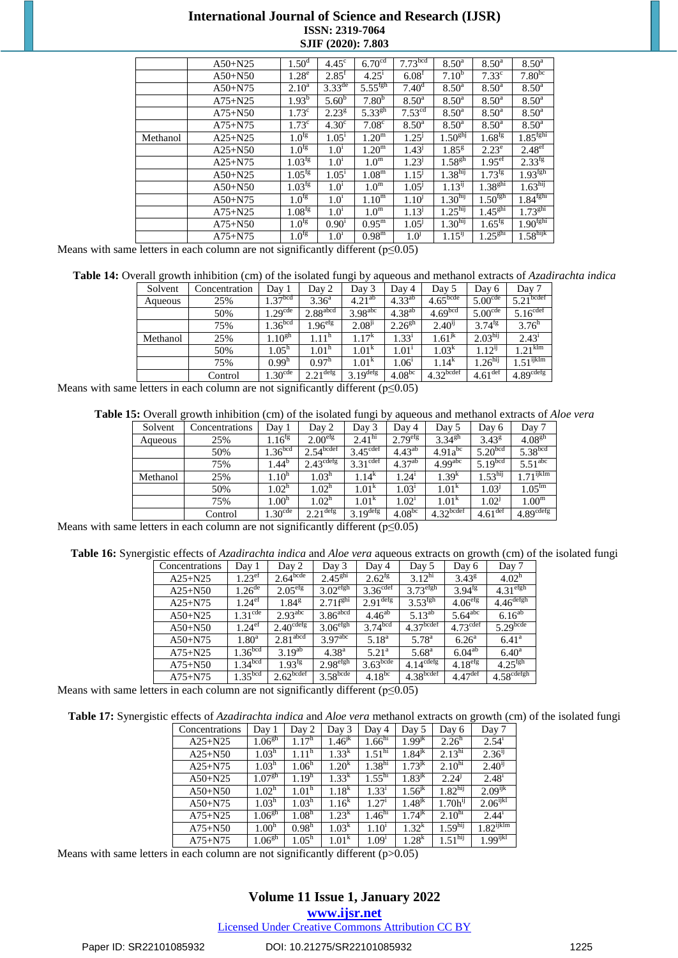|          | $A50+N25$   | 1.50 <sup>d</sup>    | 4.45 <sup>c</sup>  | 6.70 <sup>cd</sup>    | 7.73 <sup>bcd</sup> | $8.50^{\rm a}$      | $8.50^{\rm a}$       | $8.50^{\rm a}$       |
|----------|-------------|----------------------|--------------------|-----------------------|---------------------|---------------------|----------------------|----------------------|
|          | $A50+N50$   | 1.28 <sup>e</sup>    | $2.85^{\rm t}$     | $4.25^1$              | 6.08 <sup>t</sup>   | $7.10^{b}$          | $7.33^{\circ}$       | 7.80 <sup>bc</sup>   |
|          | $A50+N75$   | $2.10^a$             | $3.33^{\text{de}}$ | $5.55$ <sup>fgh</sup> | 7.40 <sup>d</sup>   | $8.50^{\rm a}$      | 8.50 <sup>a</sup>    | $8.50^{\circ}$       |
|          | $A75 + N25$ | $1.93^{b}$           | $5.60^b$           | $7.80^{b}$            | $8.50^{\rm a}$      | $8.50^{\rm a}$      | $8.50^{\rm a}$       | $8.50^{\rm a}$       |
|          | $A75 + N50$ | $1.73^{\circ}$       | 2.23 <sup>g</sup>  | $5.33^{gh}$           | 7.53 <sup>cd</sup>  | $8.50^{\rm a}$      | $8.50^{\rm a}$       | $8.50^{\rm a}$       |
|          | $A75 + N75$ | 1.73 <sup>c</sup>    | 4.30 <sup>c</sup>  | 7.08 <sup>c</sup>     | $8.50^{\rm a}$      | $8.50^{\rm a}$      | $8.50^{\rm a}$       | $8.50^{\rm a}$       |
| Methanol | $A25 + N25$ | $1.0$ <sup>fg</sup>  | 1.05 <sup>1</sup>  | $1.20^{\rm m}$        | 1.25 <sup>j</sup>   | $1.50^{ghj}$        | $1.68^{fg}$          | 1.85 <sup>fghi</sup> |
|          | $A25 + N50$ | $1.0^{tg}$           | 1.0 <sup>1</sup>   | $1.20^{\rm m}$        | 1.43 <sup>j</sup>   | $1.85^{8}$          | $2.23^e$             | 2.48 <sup>ef</sup>   |
|          | $A25 + N75$ | $1.03^{tg}$          | 1.0 <sup>1</sup>   | 1.0 <sup>m</sup>      | $1.23^{j}$          | 1.58 <sup>gh</sup>  | $1.95$ <sup>er</sup> | $2.33^{\frac{1}{9}}$ |
|          | $A50+N25$   | 1.05 <sup>fg</sup>   | 1.05 <sup>1</sup>  | 1.08 <sup>m</sup>     | 1.15 <sup>j</sup>   | 1.38 <sup>hij</sup> | $1.73^{fg}$          | 1.93 <sup>fgh</sup>  |
|          | $A50+N50$   | $1.03$ <sup>fg</sup> | $1.0^1$            | 1.0 <sup>m</sup>      | $1.05^{\mathrm{J}}$ | $1.13^{11}$         | 1.38 <sup>ghi</sup>  | 1.63 <sup>hij</sup>  |
|          | $A50+N75$   | $1.0^{fg}$           | 1.0 <sup>1</sup>   | $1.10^{\rm m}$        | $1.10^{1}$          | 1.30 <sup>hij</sup> | 1.50 <sup>fgh</sup>  | $1.84^{\frac{1}{2}}$ |
|          | $A75 + N25$ | $1.08^{fg}$          | $1.0^1$            | 1.0 <sup>m</sup>      | 1.13 <sup>j</sup>   | 1.25 <sup>hij</sup> | 1.45 <sup>ghi</sup>  | 1.73 <sup>ghi</sup>  |
|          | $A75 + N50$ | $1.0^{fg}$           | $0.90^1$           | $0.95^{\rm m}$        | 1.05 <sup>J</sup>   | 1.30 <sup>hij</sup> | $1.65^{fg}$          | 1.90 <sup>fghi</sup> |
|          | $A75 + N75$ | 1.0 <sup>f</sup> g   | $1.0^1$            | 0.98 <sup>m</sup>     | 1.0 <sup>j</sup>    | $1.15^{1}$          | 1.25 <sup>ghi</sup>  | $1.58$ hijk          |

Means with same letters in each column are not significantly different ( $p \le 0.05$ )

**Table 14:** Overall growth inhibition (cm) of the isolated fungi by aqueous and methanol extracts of *Azadirachta indica*

| Solvent  | Concentration | Day 1              | Day 2                  | Day 3                  | Day 4                         | Day 5                   | Day 6                 | Day 7                   |
|----------|---------------|--------------------|------------------------|------------------------|-------------------------------|-------------------------|-----------------------|-------------------------|
| Aqueous  | 25%           | $1.37^{bcd}$       | $3.36^{a}$             | $4.21^{ab}$            | $4.33^{ab}$                   | $4.65$ <sub>bcde</sub>  | 5.00 <sup>cde</sup>   | $5.21$ <sup>bcdef</sup> |
|          | 50%           | .29 <sup>cde</sup> | $2.88$ <sup>abcd</sup> | 3.98 <sup>abc</sup>    | $4.38^{ab}$                   | 4.69 <sup>bcd</sup>     | 5.00 <sup>cde</sup>   | 5.16 <sup>cdef</sup>    |
|          | 75%           | .36 <sup>bcd</sup> | .96 <sup>efg</sup>     | $2.08^{ji}$            | $2.26^{gh}$                   | 2.40 <sup>1</sup>       | $3.74^{fg}$           | 3.76 <sup>n</sup>       |
| Methanol | 25%           | .10 <sup>gh</sup>  | 1.11 <sup>h</sup>      | .17 <sup>k</sup>       | $1.33^1$                      | $1.61^{k}$              | 2.03 <sup>hij</sup>   | $2.43^{\circ}$          |
|          | 50%           | $1.05^{\rm h}$     | 1.01 <sup>h</sup>      | 1.01 <sup>k</sup>      | $1.01^{\scriptscriptstyle 1}$ | 1.03 <sup>K</sup>       | $12^{11}$             | .21 <sup>klm</sup>      |
|          | 75%           | 0.99 <sup>n</sup>  | 0.97 <sup>h</sup>      | $1.01\kappa$           | $1.06^{\circ}$                | $1.14^{k}$              | .26 <sup>hij</sup>    | $1.51^{\text{ijklm}}$   |
|          | Control       | .30 <sup>cde</sup> | $2.21$ <sup>defg</sup> | $3.19$ <sup>defg</sup> | $4.08^{bc}$                   | $4.32$ <sup>bcdef</sup> | $4.61$ <sup>def</sup> | 4.89 <sup>cdefg</sup>   |

Means with same letters in each column are not significantly different ( $p \le 0.05$ )

**Table 15:** Overall growth inhibition (cm) of the isolated fungi by aqueous and methanol extracts of *Aloe vera*

| Solvent  | Concentrations | Day 1               | Day 2                  | Day 3                  | Day 4               | Day 5               | Day 6                 | Day 7                 |
|----------|----------------|---------------------|------------------------|------------------------|---------------------|---------------------|-----------------------|-----------------------|
| Aqueous  | 25%            | $1.16^{fg}$         | 2.00 <sup>erg</sup>    | 2.41 <sup>hi</sup>     | 2.79 <sup>erg</sup> | $3.34^{gh}$         | $3.43^{\rm g}$        | $4.08^{gh}$           |
|          | 50%            | 1.36 <sup>bcd</sup> | 2.54 <sup>bcdef</sup>  | 3.45 <sup>cdef</sup>   | $4.43^{ab}$         | $4.91a^{bc}$        | 5.20 <sup>bcd</sup>   | 5.38 <sup>bcd</sup>   |
|          | 75%            | $1.44^{\circ}$      | $2.43^{\text{cdefg}}$  | 3.31 <sup>cdef</sup>   | $4.37^{ab}$         | 4.99 <sup>abc</sup> | 5.19 <sup>bcd</sup>   | 5.51 <sup>abc</sup>   |
| Methanol | 25%            | 1.10 <sup>h</sup>   | 1.03 <sup>h</sup>      | $1.14^{k}$             | $1.24^1$            | 1.39 <sup>k</sup>   | 1.53 <sup>hij</sup>   | $1.71^{\rm ijklm}$    |
|          | 50%            | 1.02 <sup>h</sup>   | 1.02 <sup>h</sup>      | 1.01 <sup>K</sup>      | $1.03^1$            | 1.01 <sup>K</sup>   | 1.03 <sup>J</sup>     | $1.05^{\text{lm}}$    |
|          | 75%            | 1.00 <sup>h</sup>   | 1.02 <sup>h</sup>      | 1.01 <sup>k</sup>      | $1.02^1$            | 1.01 <sup>k</sup>   | 1.02 <sup>j</sup>     | 1.00 <sup>m</sup>     |
|          | Control        | .30 <sup>cde</sup>  | $2.21$ <sup>defg</sup> | $3.19$ <sup>defg</sup> | 4.08 <sup>bc</sup>  | $4.32$ bcdef        | $4.61$ <sup>def</sup> | 4.89 <sup>cdefg</sup> |

Means with same letters in each column are not significantly different ( $p \le 0.05$ )

**Table 16:** Synergistic effects of *Azadirachta indica* and *Aloe vera* aqueous extracts on growth (cm) of the isolated fungi

| Concentrations | Day 1                | Day 2                 | Day $3$                | Day 4                  | Day 5                 | Day 6                 | Day 7                    |
|----------------|----------------------|-----------------------|------------------------|------------------------|-----------------------|-----------------------|--------------------------|
| $A25 + N25$    | $1.23$ <sup>ef</sup> | 2.64 <sup>bcde</sup>  | $2.45^{ghi}$           | $2.62^{1g}$            | 3.12 <sup>hi</sup>    | $3.43^{8}$            | 4.02 <sup>h</sup>        |
| $A25 + N50$    | $1.26^{\text{de}}$   | 2.05 <sup>erg</sup>   | $3.02^{\text{efgh}}$   | $3.36^{\text{cdef}}$   | $3.73^{\text{efgh}}$  | $3.94^{18}$           | $4.31$ <sup>efgh</sup>   |
| $A25 + N75$    | $1.24$ <sup>ef</sup> | $1.84^{8}$            | 2.71f <sup>ghi</sup>   | $2.91$ <sup>defg</sup> | 3.53 <sup>fgh</sup>   | 4.06 <sup>erg</sup>   | $4.46$ <sup>defgh</sup>  |
| $A50+N25$      | $1.31^{\text{cde}}$  | 2.93 <sup>abc</sup>   | $3.86$ <sup>abcd</sup> | $4.46^{ab}$            | $5.13^{ab}$           | $5.64$ <sup>abc</sup> | $6.16^{ab}$              |
| $A50+N50$      | $1.24$ <sup>ef</sup> | $2.40^{\text{cdefg}}$ | $3.06$ <sup>efgh</sup> | 3.74 <sup>bcd</sup>    | 4.37 <sup>bcdef</sup> | 4.73 <sup>cdef</sup>  | $5.29$ <sup>bcde</sup>   |
| $A50+N75$      | $1.80^{\rm a}$       | 2.81 <sup>abcd</sup>  | 3.97 <sup>abc</sup>    | $5.18^{a}$             | $5.78^{a}$            | $6.26^{\rm a}$        | 6.41 <sup>a</sup>        |
| $A75 + N25$    | 1.36 <sup>bcd</sup>  | $3.19^{ab}$           | $4.38^{a}$             | $5.21^{\text{a}}$      | $5.68^{\rm a}$        | $6.04^{ab}$           | $6.40^{\rm a}$           |
| $A75 + N50$    | $1.34^{bcd}$         | $1.93^{fg}$           | 2.98 <sup>efgh</sup>   | $3.63$ <sup>bcde</sup> | 4.14 <sup>cdefg</sup> | 4.18 <sup>erg</sup>   | $4.25$ <sup>tgh</sup>    |
| $A75 + N75$    | 1.35 <sup>bcd</sup>  | 2.62 <sup>bcdef</sup> | $3.58$ bcde            | $4.18^{bc}$            | 4.38 <sup>bcdef</sup> | $4.47$ <sup>def</sup> | $4.58$ <sup>cdefgh</sup> |

Means with same letters in each column are not significantly different ( $p \le 0.05$ )

**Table 17:** Synergistic effects of *Azadirachta indica* and *Aloe vera* methanol extracts on growth (cm) of the isolated fungi

| Concentrations | Day 1              | Day 2             | Day 3             | Day 4                         | Day 5             | Day 6                          | Day 7                   |
|----------------|--------------------|-------------------|-------------------|-------------------------------|-------------------|--------------------------------|-------------------------|
| $A25 + N25$    | $1.06^{gh}$        | 1.17 <sup>h</sup> | $1.46^{jk}$       | 1.66 <sup>h</sup>             | $1.99^{jk}$       | 2.26 <sup>n</sup>              | 2.54 <sup>1</sup>       |
| $A25 + N50$    | 1.03 <sup>h</sup>  | 1.11 <sup>h</sup> | $1.33^{k}$        | 1.51 <sup>hi</sup>            | $1.84^{jk}$       | 2.13 <sup>hi</sup>             | 2.36 <sup>1</sup>       |
| $A25 + N75$    | 1.03 <sup>h</sup>  | 1.06 <sup>h</sup> | 20 <sup>k</sup>   | 1.38 <sup>hi</sup>            | $1.73^{jk}$       | $2.10^{hi}$                    | 2.40 <sup>1</sup>       |
| $A50+N25$      | 1.07 <sup>gh</sup> | 1.19 <sup>h</sup> | $1.33^{k}$        | $1.55^{\rm hi}$               | $1.83^{jk}$       | 2.24 <sup>j</sup>              | 2.48 <sup>1</sup>       |
| $A50+N50$      | 1.02 <sup>h</sup>  | 1.01 <sup>h</sup> | 18 <sup>k</sup>   | 1.33 <sup>1</sup>             | $1.56^{k}$        | 1.82 <sup>hij</sup>            | $2.09^{ijk}$            |
| $A50+N75$      | 1.03 <sup>h</sup>  | 1.03 <sup>h</sup> | $1.16^{k}$        | $.27^{1}$                     | $1.48^{jk}$       | $1.70h^{1}$                    | $2.06$ <sup>ijkl</sup>  |
| $A75 + N25$    | $1.06^{gh}$        | 1.08 <sup>h</sup> | $1.23^{k}$        | 1.46 <sup>hi</sup>            | $1.74^{jk}$       | 2.10 <sup>hi</sup>             | 2.44 <sup>1</sup>       |
| $A75 + N50$    | 1.00 <sup>h</sup>  | 0.98 <sup>h</sup> | 1.03 <sup>k</sup> | 1.10 <sup>1</sup>             | 1.32 <sup>k</sup> | 1.59 <sup>hij</sup>            | $1.82$ <sup>ijklm</sup> |
| $A75 + N75$    | 1.06 <sup>gh</sup> | $.05^h$           | 1.01 <sup>K</sup> | $1.09^{\scriptscriptstyle 1}$ | 1.28 <sup>k</sup> | $1.51^{\overline{\text{hij}}}$ | $.99^{ijkl}$            |

Means with same letters in each column are not significantly different  $(p>0.05)$ 

# **Volume 11 Issue 1, January 2022**

**www.ijsr.net**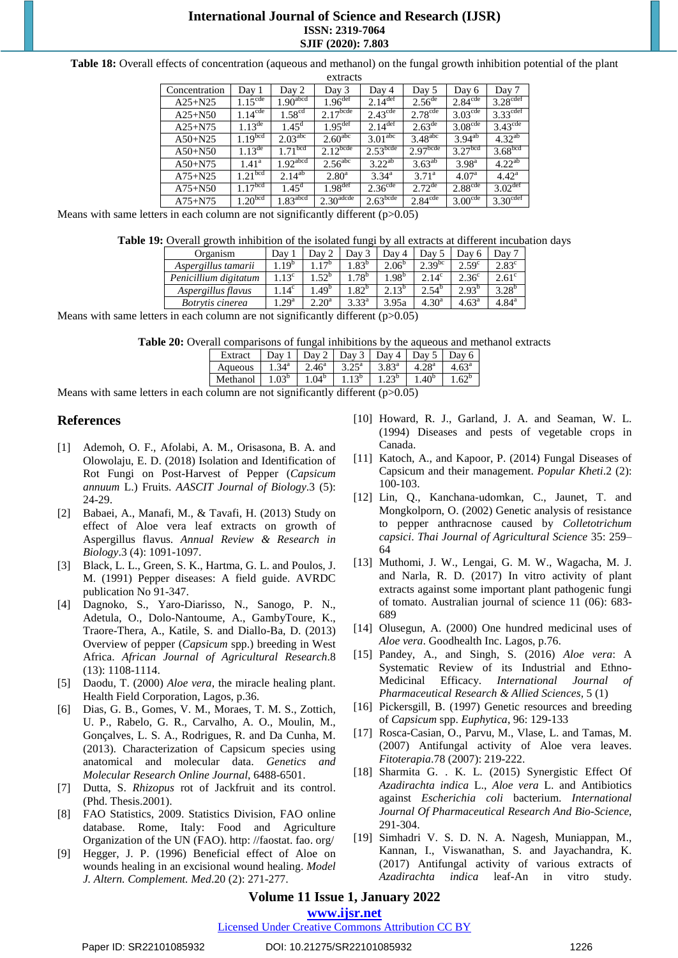**Table 18:** Overall effects of concentration (aqueous and methanol) on the fungal growth inhibition potential of the plant

|               |                     |                        | extracts              |                        |                         |                         |                      |
|---------------|---------------------|------------------------|-----------------------|------------------------|-------------------------|-------------------------|----------------------|
| Concentration | Day 1               | Day 2                  | Day 3                 | Day 4                  | Day 5                   | Day 6                   | Day 7                |
| $A25 + N25$   | $1.15^{\text{cde}}$ | $1.90$ <sup>abcd</sup> | 1.96 <sup>det</sup>   | $2.14^{\text{def}}$    | $2.56^{\text{de}}$      | $2.84^{\overline{cde}}$ | $3.28^{\text{cdef}}$ |
| $A25 + N50$   | $1.14^{\text{cde}}$ | $1.58^{cd}$            | 2.17 <sup>bcde</sup>  | $2.43^{\text{cde}}$    | $2.78^{\text{cde}}$     | 3.03 <sup>cde</sup>     | $3.33^{\text{cdef}}$ |
| $A25 + N75$   | $1.13^{\text{de}}$  | $1.45^{\rm d}$         | $1.95$ <sup>def</sup> | 2.14 $det$             | $2.63^{\text{de}}$      | 3.08 <sup>cde</sup>     | $3.43^{\text{cde}}$  |
| $A50 + N25$   | 1.19 <sup>bcd</sup> | $2.03^{\text{abc}}$    | $2.60^{\text{abc}}$   | 3.01 <sup>abc</sup>    | $3.48^{\text{abc}}$     | $3.94^{ab}$             | $4.32^{ab}$          |
| $A50+N50$     | $1.13^{de}$         | 1.71 <sup>bcd</sup>    | $2.12^{bcde}$         | $2.53$ <sup>bcde</sup> | $2.97$ <sub>bcde</sub>  | 3.27 <sup>bcd</sup>     | 3.68 <sup>bcd</sup>  |
| $A50+N75$     | $1.41^{\rm a}$      | $1.92$ <sup>abcd</sup> | $2.56^{\text{abc}}$   | $3.22^{ab}$            | $3.63^{ab}$             | 3.98 <sup>a</sup>       | $4.22^{ab}$          |
| $A75 + N25$   | 1.21 <sup>bcd</sup> | 2.14 <sup>ab</sup>     | $2.80^{\rm a}$        | $3.34^{\circ}$         | $3.71^{\rm a}$          | 4.07 <sup>a</sup>       | $4.42^{\rm a}$       |
| $A75 + N50$   | $1.17^{bcd}$        | $1.45^{\rm d}$         | $1.98$ <sup>def</sup> | $2.36^{\text{cde}}$    | $2.72^{de}$             | 2.88 <sup>cde</sup>     | $3.02^{\text{def}}$  |
| $A75 + N75$   | 1.20 <sup>bcd</sup> | $1.83$ <sup>abcd</sup> | 2.30 <sup>adcde</sup> | $2.63$ <sub>bcde</sub> | $2.84^{\overline{cde}}$ | $3.00^{\text{cde}}$     | 3.30 <sup>cdef</sup> |

Means with same letters in each column are not significantly different  $(p>0.05)$ 

**Table 19:** Overall growth inhibition of the isolated fungi by all extracts at different incubation days

| Organism              | $\Delta$ dav     | Dav 2             | Dav 3            | Dav 4            | Dav '          | Dav 6             | $Dav^7$        |
|-----------------------|------------------|-------------------|------------------|------------------|----------------|-------------------|----------------|
| Aspergillus tamarii   | $.19^{\circ}$    | 1 TD              | .83 <sup>b</sup> | $2.06^{\circ}$   | $2.39^{bc}$    | 2.59 <sup>c</sup> | $2.83^{\circ}$ |
| Penicillium digitatum | $1.13^{\circ}$   | .52 <sup>b</sup>  | .78 <sup>b</sup> | .98 <sup>b</sup> | $14^{\circ}$   | 2.36 <sup>c</sup> | $2.61^\circ$   |
| Aspergillus flavus    | $.14^{\circ}$    | .49 <sup>b</sup>  | .82 <sup>b</sup> | $-.13^{\circ}$   | $2.54^{\circ}$ | $2.93^{b}$        | $3.28^{b}$     |
| Botrytis cinerea      | .29 <sup>a</sup> | 2.20 <sup>a</sup> | $3.33^{a}$       | 3.95a            | $4.30^{a}$     | $4.63^{\rm a}$    | $4.84^{\rm a}$ |
|                       |                  |                   |                  |                  |                |                   |                |

Means with same letters in each column are not significantly different  $(p>0.05)$ 

|  |  | Table 20: Overall comparisons of fungal inhibitions by the aqueous and methanol extracts |  |
|--|--|------------------------------------------------------------------------------------------|--|
|  |  |                                                                                          |  |

| Extract  | $\text{Dav}$      |                   |                | 1   Day 2   Day 3   Day 4   Day 5   1 |                | Day 6   |
|----------|-------------------|-------------------|----------------|---------------------------------------|----------------|---------|
| Aqueous  |                   | $2.46^{\circ}$    | $3.25^{\rm a}$ | $3.83^{\rm a}$                        | $4.28^{\circ}$ | $+.63a$ |
| Methanol | 1.03 <sup>b</sup> | 0.04 <sup>b</sup> |                |                                       | $1.40^{b}$     |         |

Means with same letters in each column are not significantly different  $(p>0.05)$ 

#### **References**

- [1] Ademoh, O. F., Afolabi, A. M., Orisasona, B. A. and Olowolaju, E. D. (2018) Isolation and Identification of Rot Fungi on Post-Harvest of Pepper (*Capsicum annuum* L.) Fruits. *AASCIT Journal of Biology*.3 (5): 24-29.
- [2] Babaei, A., Manafi, M., & Tavafi, H. (2013) Study on effect of Aloe vera leaf extracts on growth of Aspergillus flavus. *Annual Review & Research in Biology*.3 (4): 1091-1097.
- [3] Black, L. L., Green, S. K., Hartma, G. L. and Poulos, J. M. (1991) Pepper diseases: A field guide. AVRDC publication No 91-347.
- [4] Dagnoko, S., Yaro-Diarisso, N., Sanogo, P. N., Adetula, O., Dolo-Nantoume, A., GambyToure, K., Traore-Thera, A., Katile, S. and Diallo-Ba, D. (2013) Overview of pepper (*Capsicum* spp.) breeding in West Africa. *African Journal of Agricultural Research*.8 (13): 1108-1114.
- [5] Daodu, T. (2000) *Aloe vera*, the miracle healing plant. Health Field Corporation, Lagos, p.36.
- [6] Dias, G. B., Gomes, V. M., Moraes, T. M. S., Zottich, U. P., Rabelo, G. R., Carvalho, A. O., Moulin, M., Gonçalves, L. S. A., Rodrigues, R. and Da Cunha, M. (2013). Characterization of Capsicum species using anatomical and molecular data. *Genetics and Molecular Research Online Journal*, 6488-6501.
- [7] Dutta, S. *Rhizopus* rot of Jackfruit and its control. (Phd. Thesis.2001).
- [8] FAO Statistics, 2009. Statistics Division, FAO online database. Rome, Italy: Food and Agriculture Organization of the UN (FAO). http: //faostat. fao. org/
- [9] Hegger, J. P. (1996) Beneficial effect of Aloe on wounds healing in an excisional wound healing. *Model J. Altern. Complement. Med*.20 (2): 271-277.
- [10] Howard, R. J., Garland, J. A. and Seaman, W. L. (1994) Diseases and pests of vegetable crops in Canada.
- [11] Katoch, A., and Kapoor, P. (2014) Fungal Diseases of Capsicum and their management. *Popular Kheti*.2 (2): 100-103.
- [12] Lin, Q., Kanchana‐udomkan, C., Jaunet, T. and Mongkolporn, O. (2002) Genetic analysis of resistance to pepper anthracnose caused by *Colletotrichum capsici*. *Thai Journal of Agricultural Science* 35: 259– 64
- [13] Muthomi, J. W., Lengai, G. M. W., Wagacha, M. J. and Narla, R. D. (2017) In vitro activity of plant extracts against some important plant pathogenic fungi of tomato. Australian journal of science 11 (06): 683- 689
- [14] Olusegun, A. (2000) One hundred medicinal uses of *Aloe vera*. Goodhealth Inc. Lagos, p.76.
- [15] Pandey, A., and Singh, S. (2016) *Aloe vera*: A Systematic Review of its Industrial and Ethno-Medicinal Efficacy. *International Journal Pharmaceutical Research & Allied Sciences,* 5 (1)
- [16] Pickersgill, B. (1997) Genetic resources and breeding of *Capsicum* spp. *Euphytica*, 96: 129-133
- [17] Rosca-Casian, O., Parvu, M., Vlase, L. and Tamas, M. (2007) Antifungal activity of Aloe vera leaves. *Fitoterapia*.78 (2007): 219-222.
- [18] Sharmita G. . K. L. (2015) Synergistic Effect Of *Azadirachta indica* L., *Aloe vera* L. and Antibiotics against *Escherichia coli* bacterium. *International Journal Of Pharmaceutical Research And Bio-Science*, 291-304.
- [19] Simhadri V. S. D. N. A. Nagesh, Muniappan, M., Kannan, I., Viswanathan, S. and Jayachandra, K. (2017) Antifungal activity of various extracts of *Azadirachta indica* leaf-An in vitro study.

## **Volume 11 Issue 1, January 2022**

**www.ijsr.net**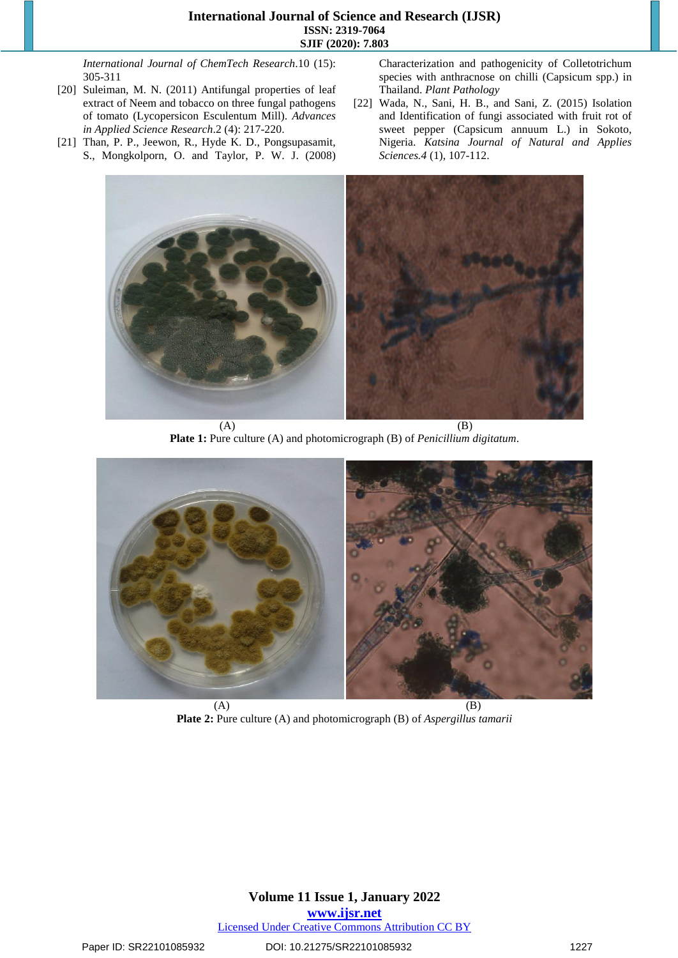*International Journal of ChemTech Research*.10 (15): 305-311

- [20] Suleiman, M. N. (2011) Antifungal properties of leaf extract of Neem and tobacco on three fungal pathogens of tomato (Lycopersicon Esculentum Mill). *Advances in Applied Science Research*.2 (4): 217-220.
- [21] Than, P. P., Jeewon, R., Hyde K. D., Pongsupasamit, S., Mongkolporn, O. and Taylor, P. W. J. (2008)

Characterization and pathogenicity of Colletotrichum species with anthracnose on chilli (Capsicum spp.) in Thailand. *Plant Pathology*

[22] Wada, N., Sani, H. B., and Sani, Z. (2015) Isolation and Identification of fungi associated with fruit rot of sweet pepper (Capsicum annuum L.) in Sokoto, Nigeria. *Katsina Journal of Natural and Applies Sciences.4* (1), 107-112.



 $(A)$  (B) **Plate 1:** Pure culture (A) and photomicrograph (B) of *Penicillium digitatum*.



**Plate 2:** Pure culture (A) and photomicrograph (B) of *Aspergillus tamarii*

# **Volume 11 Issue 1, January 2022 www.ijsr.net**